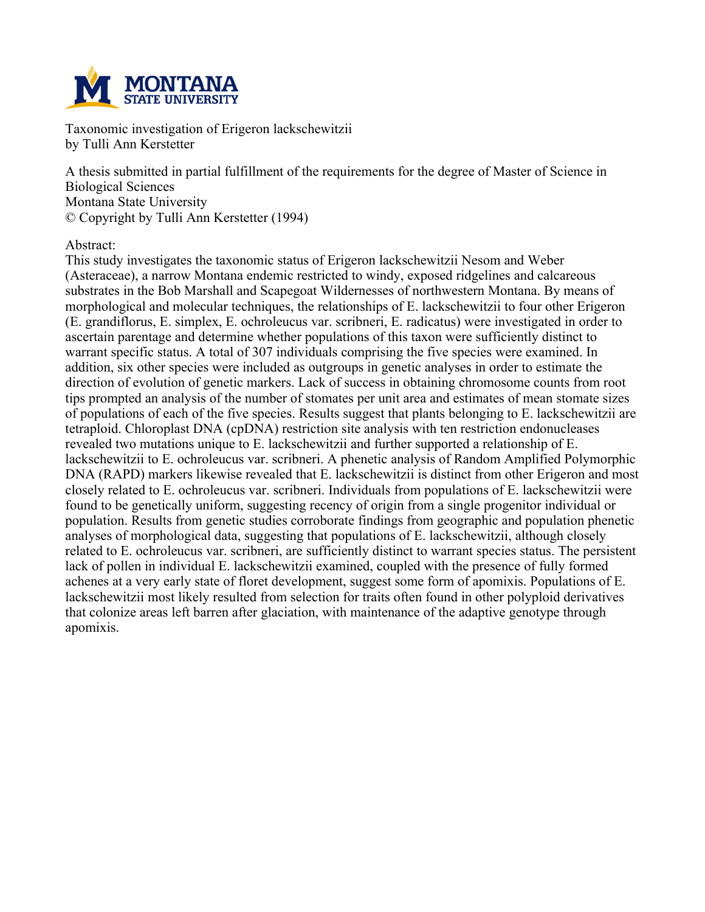

**Taxonomic investigation of Erigeron lackschewitzii by Tulli Ann Kerstetter**

**A thesis submitted in partial fulfillment of the requirements for the degree of Master of Science in Biological Sciences Montana State University © Copyright by Tulli Ann Kerstetter (1994)**

#### **Abstract:**

**This study investigates the taxonomic status of Erigeron lackschewitzii Nesom and Weber (Asteraceae), a narrow Montana endemic restricted to windy, exposed ridgelines and calcareous substrates in the Bob Marshall and Scapegoat Wildernesses of northwestern Montana. By means of morphological and molecular techniques, the relationships of E. lackschewitzii to four other Erigeron (E. grandiflorus, E. simplex, E. ochroleucus var. scribneri, E. radicatus) were investigated in order to ascertain parentage and determine whether populations of this taxon were sufficiently distinct to warrant specific status. A total of 307 individuals comprising the five species were examined. In addition, six other species were included as outgroups in genetic analyses in order to estimate the direction of evolution of genetic markers. Lack of success in obtaining chromosome counts from root** tips prompted an analysis of the number of stomates per unit area and estimates of mean stomate sizes of populations of each of the five species. Results suggest that plants belonging to E. lackschewitzii are **tetraploid. Chloroplast DNA (cpDNA) restriction site analysis with ten restriction endonucleases revealed two mutations unique to E. lackschewitzii and further supported a relationship of E. lackschewitzii to E. ochroleucus var. scribneri. A phenetic analysis of Random Amplified Polymorphic DNA (RAPD) markers likewise revealed that E. lackschewitzii is distinct from other Erigeron and most closely related to E. ochroleucus var. scribneri. Individuals from populations of E. lackschewitzii were found to be genetically uniform, suggesting recency of origin from a single progenitor individual or population. Results from genetic studies corroborate findings from geographic and population phenetic analyses of morphological data, suggesting that populations of E. lackschewitzii, although closely related to E. ochroleucus var. scribneri, are sufficiently distinct to warrant species status. The persistent lack of pollen in individual E. lackschewitzii examined, coupled with the presence of fully formed achenes at a very early state of floret development, suggest some form of apomixis. Populations of E. lackschewitzii most likely resulted from selection for traits often found in other polyploid derivatives that colonize areas left barren after glaciation, with maintenance of the adaptive genotype through apomixis.**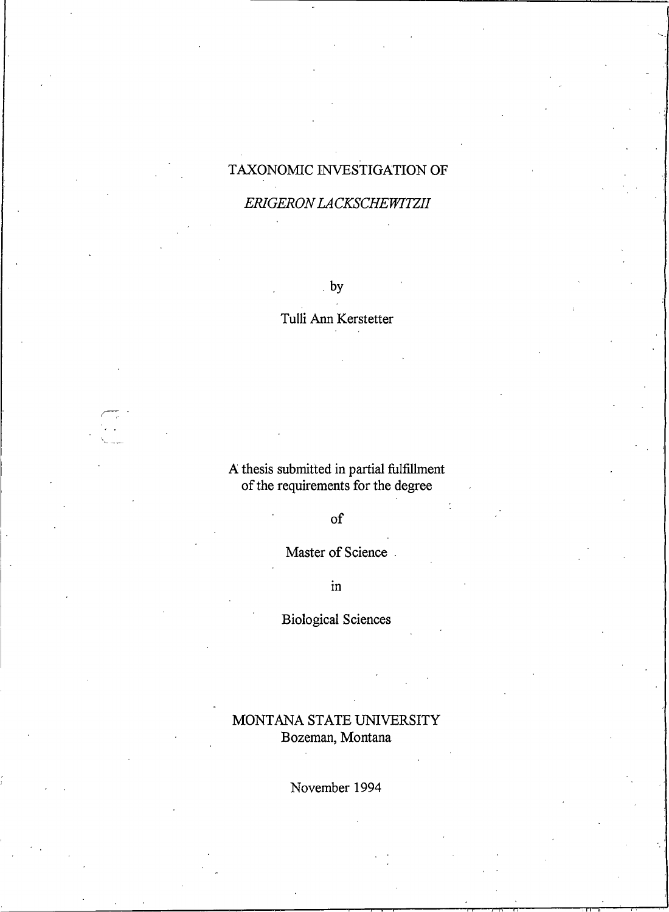# TAXONOMIC INVESTIGATION OF

#### ERIGERON LACKSCHEWITZII

 $by$ 

#### Tulli Ann Kerstetter

# A thesis submitted in partial fulfillment<br>of the requirements for the degree

 $of$ 

Master of Science.

 $\mathbf{in}$ 

**Biological Sciences** 

### MONTANA STATE UNIVERSITY Bozeman, Montana

November 1994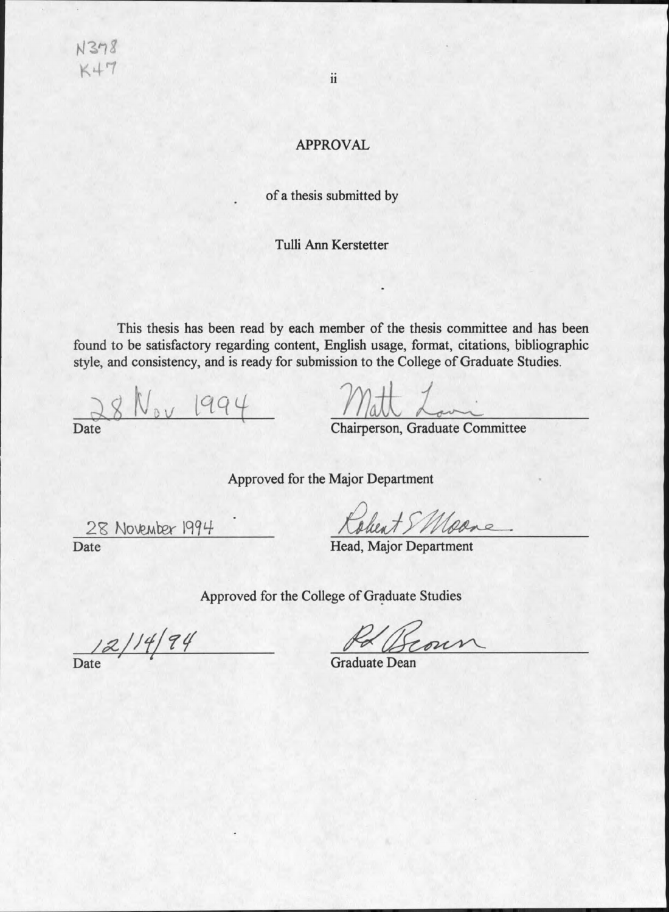N378  $K+7$ 

#### **APPROVAL**

#### of a thesis submitted by

#### Tulli Ann Kerstetter

This thesis has been read by each member of the thesis committee and has been found to be satisfactory regarding content, English usage, format, citations, bibliographic style, and consistency, and is ready for submission to the College of Graduate Studies.

 $8$   $N_{ov}$  1994 Date

Chairperson, Graduate Committee

Approved for the Major Department

28 November 1994 Date

obert SMoone

Head, Major Department

Approved for the College of Graduate Studies

12/14/94 Date

**Graduate Dean**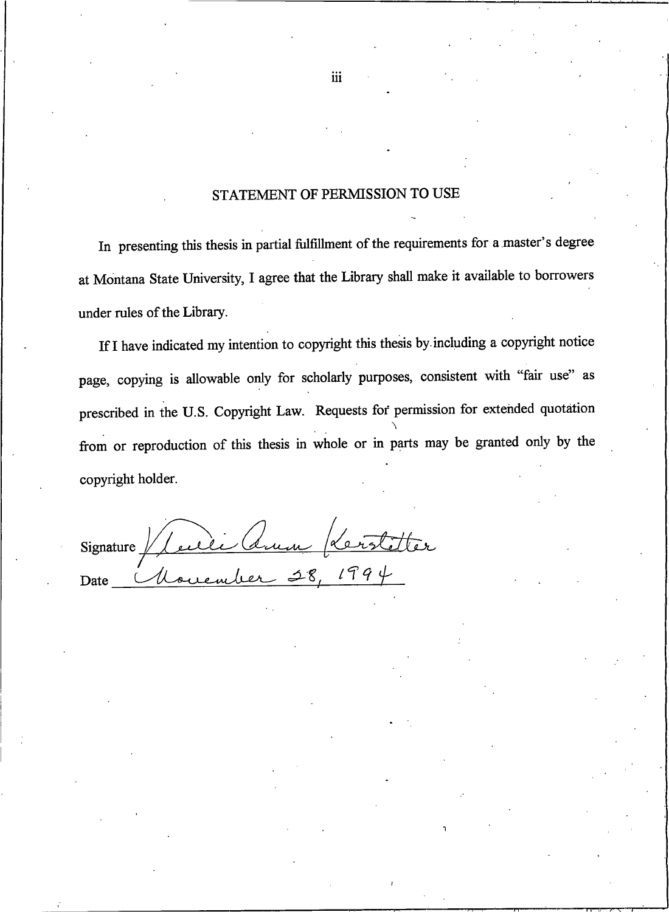#### STATEMENT OF PERMISSION TO USE

In presenting this thesis in partial fulfillment of the requirements for a master's degree at Montana State University, I agree that the Library shall make it available to borrowers under rules of the Library.

If I have indicated my intention to copyright this thesis by including a copyright notice page, copying is allowable only for scholarly purposes, consistent with "fair use" as prescribed in the U.S. Copyright Law. Requests for permission for extended quotation from or reproduction of this thesis in whole or in parts may be granted only by the copyright holder.

Signature / Lucie (Suin Provisition

iii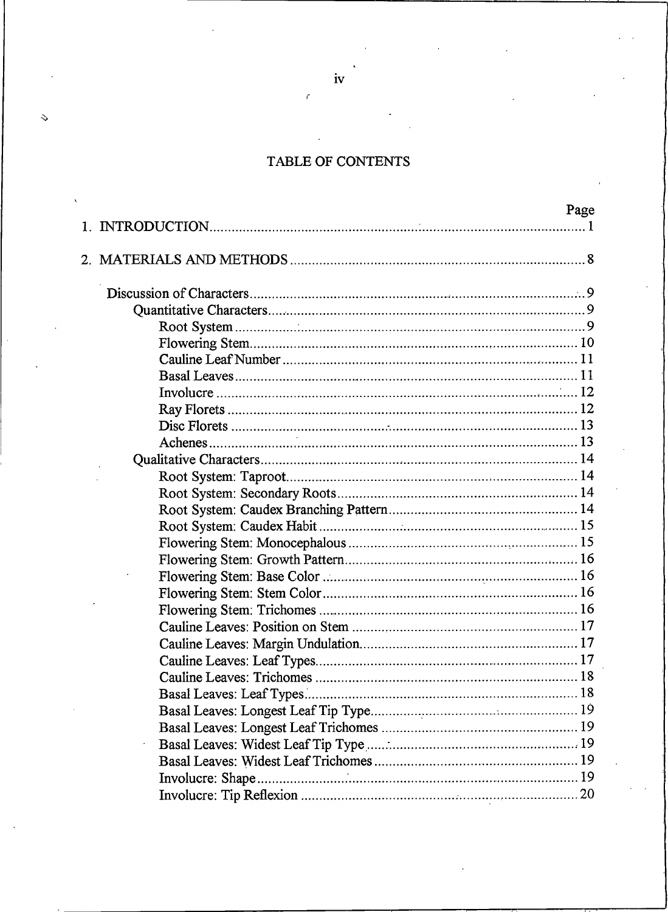## TABLE OF CONTENTS

| rage |
|------|
|      |
|      |
|      |
|      |
|      |
|      |
|      |
|      |
|      |
|      |
|      |
|      |
|      |
|      |
|      |
|      |
|      |
|      |
|      |
|      |
|      |
|      |
|      |
|      |
|      |
|      |
|      |
|      |
|      |
|      |
|      |
|      |
|      |
|      |

iv

Š,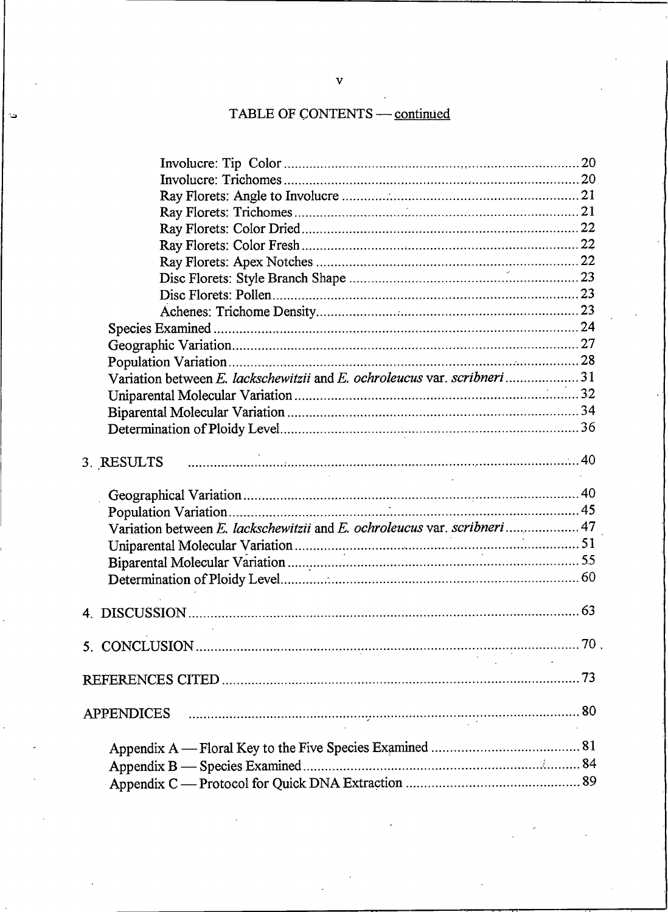# TABLE OF CONTENTS - continued

د.

| Variation between E. lackschewitzii and E. ochroleucus var. scribneri31  |  |
|--------------------------------------------------------------------------|--|
|                                                                          |  |
|                                                                          |  |
|                                                                          |  |
|                                                                          |  |
| B. RESULTS                                                               |  |
|                                                                          |  |
|                                                                          |  |
|                                                                          |  |
| Variation between E. lackschewitzii and E. ochroleucus var. scribneri 47 |  |
|                                                                          |  |
|                                                                          |  |
|                                                                          |  |
|                                                                          |  |
|                                                                          |  |
|                                                                          |  |
|                                                                          |  |
|                                                                          |  |
|                                                                          |  |
|                                                                          |  |
|                                                                          |  |
|                                                                          |  |
|                                                                          |  |
|                                                                          |  |
|                                                                          |  |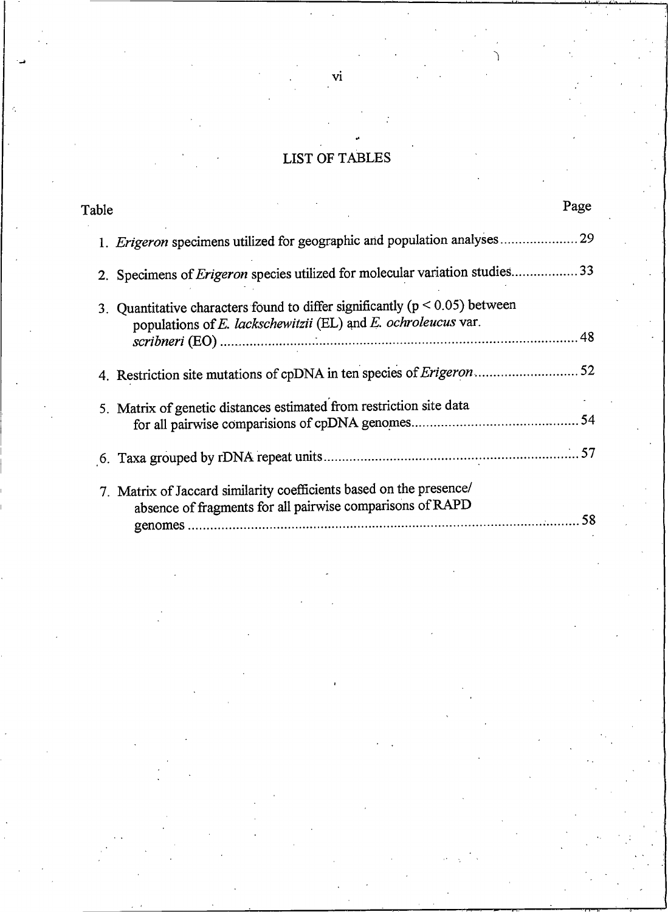# **LIST OF TABLES**

| Table                                                                                                                                            | Page |
|--------------------------------------------------------------------------------------------------------------------------------------------------|------|
| 1. Erigeron specimens utilized for geographic and population analyses                                                                            | 29   |
| 2. Specimens of Erigeron species utilized for molecular variation studies33                                                                      |      |
| 3. Quantitative characters found to differ significantly ( $p < 0.05$ ) between<br>populations of E. lackschewitzii (EL) and E. ochroleucus var. |      |
|                                                                                                                                                  |      |
| 5. Matrix of genetic distances estimated from restriction site data                                                                              |      |
|                                                                                                                                                  |      |
| 7. Matrix of Jaccard similarity coefficients based on the presence/<br>absence of fragments for all pairwise comparisons of RAPD                 |      |

# $\dot{v}$ i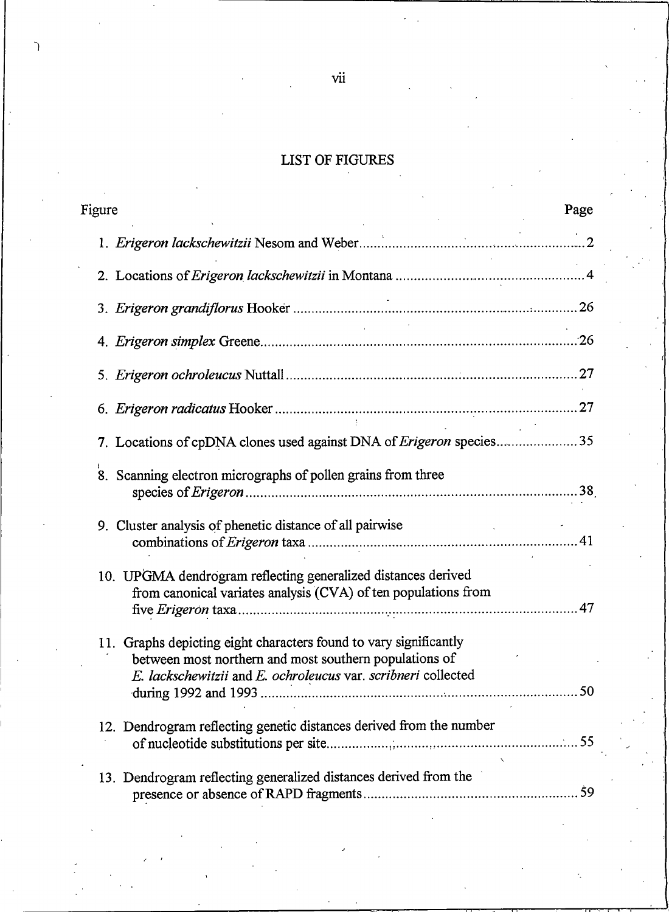# LIST OF FIGURES

| Figure                                                                                                                          | Page |
|---------------------------------------------------------------------------------------------------------------------------------|------|
|                                                                                                                                 |      |
|                                                                                                                                 |      |
|                                                                                                                                 |      |
| $\sim$                                                                                                                          |      |
|                                                                                                                                 |      |
|                                                                                                                                 |      |
| 7. Locations of cpDNA clones used against DNA of Erigeron species 35                                                            |      |
| 8. Scanning electron micrographs of pollen grains from three                                                                    |      |
| 9. Cluster analysis of phenetic distance of all pairwise                                                                        |      |
| 10. UPGMA dendrogram reflecting generalized distances derived<br>from canonical variates analysis (CVA) of ten populations from |      |
| 11. Graphs depicting eight characters found to vary significantly<br>between most northern and most southern populations of     |      |
| E. lackschewitzii and E. ochroleucus var. scribneri collected                                                                   |      |
| 12. Dendrogram reflecting genetic distances derived from the number                                                             |      |
| 13. Dendrogram reflecting generalized distances derived from the                                                                |      |

 $vii$ 

٦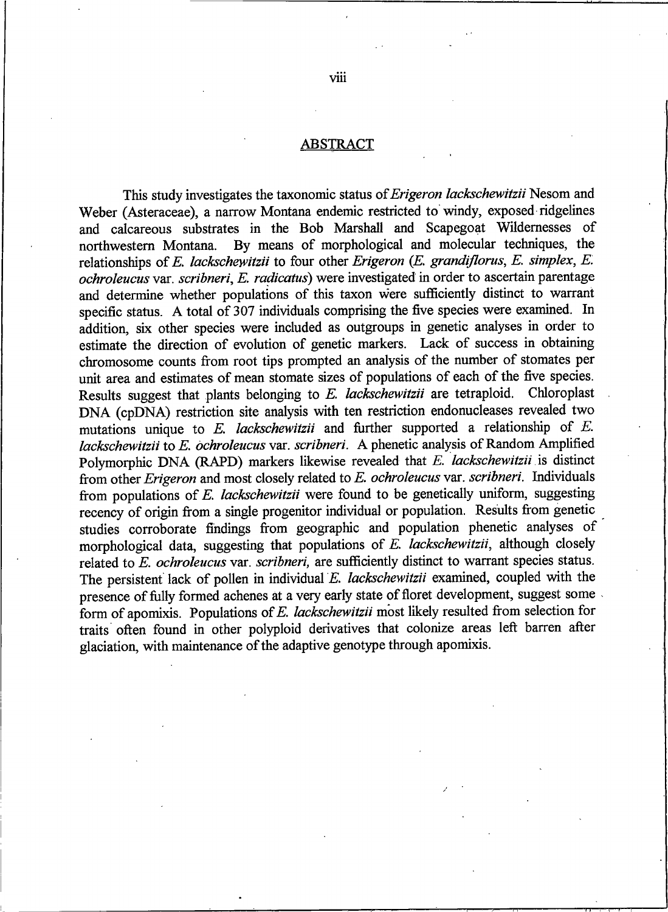#### **ABSTRACT**

This study investigates the taxonomic status of Erigeron lackschewitzii Nesom and Weber (Asteraceae), a narrow Montana endemic restricted to windy, exposed ridgelines and calcareous substrates in the Bob Marshall and Scapegoat Wildernesses of By means of morphological and molecular techniques, the northwestern Montana. relationships of E. lackschewitzii to four other Erigeron (E. grandiflorus, E. simplex, E. ochroleucus var. scribneri, E. radicatus) were investigated in order to ascertain parentage and determine whether populations of this taxon were sufficiently distinct to warrant specific status. A total of 307 individuals comprising the five species were examined. In addition, six other species were included as outgroups in genetic analyses in order to estimate the direction of evolution of genetic markers. Lack of success in obtaining chromosome counts from root tips prompted an analysis of the number of stomates per unit area and estimates of mean stomate sizes of populations of each of the five species. Results suggest that plants belonging to E. lackschewitzii are tetraploid. Chloroplast DNA (cpDNA) restriction site analysis with ten restriction endonucleases revealed two mutations unique to  $E$ . lackschewitzii and further supported a relationship of  $E$ . lackschewitzii to E. ochroleucus var. scribneri. A phenetic analysis of Random Amplified Polymorphic DNA (RAPD) markers likewise revealed that E. lackschewitzii is distinct from other Erigeron and most closely related to E. ochroleucus var. scribneri. Individuals from populations of E. lackschewitzii were found to be genetically uniform, suggesting recency of origin from a single progenitor individual or population. Results from genetic studies corroborate findings from geographic and population phenetic analyses of morphological data, suggesting that populations of E. lackschewitzii, although closely related to E. ochroleucus var. scribneri, are sufficiently distinct to warrant species status. The persistent lack of pollen in individual E. lackschewitzii examined, coupled with the presence of fully formed achenes at a very early state of floret development, suggest some form of apomixis. Populations of E. lackschewitzii most likely resulted from selection for traits often found in other polyploid derivatives that colonize areas left barren after glaciation, with maintenance of the adaptive genotype through apomixis.

viii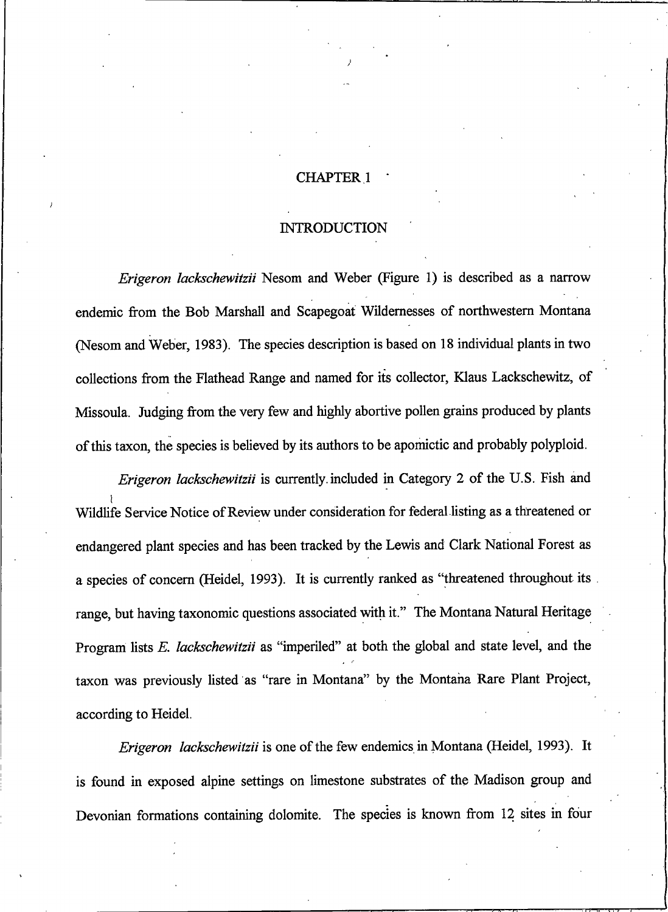#### **CHAPTER 1**

#### **INTRODUCTION**

Erigeron lackschewitzii Nesom and Weber (Figure 1) is described as a narrow endemic from the Bob Marshall and Scapegoat Wildernesses of northwestern Montana (Nesom and Weber, 1983). The species description is based on 18 individual plants in two collections from the Flathead Range and named for its collector, Klaus Lackschewitz, of Missoula. Judging from the very few and highly abortive pollen grains produced by plants of this taxon, the species is believed by its authors to be apomictic and probably polyploid.

Erigeron lackschewitzii is currently included in Category 2 of the U.S. Fish and Wildlife Service Notice of Review under consideration for federal listing as a threatened or endangered plant species and has been tracked by the Lewis and Clark National Forest as a species of concern (Heidel, 1993). It is currently ranked as "threatened throughout its range, but having taxonomic questions associated with it." The Montana Natural Heritage Program lists E. lackschewitzii as "imperiled" at both the global and state level, and the taxon was previously listed as "rare in Montana" by the Montana Rare Plant Project, according to Heidel.

Erigeron lackschewitzii is one of the few endemics in Montana (Heidel, 1993). It is found in exposed alpine settings on limestone substrates of the Madison group and Devonian formations containing dolomite. The species is known from 12 sites in four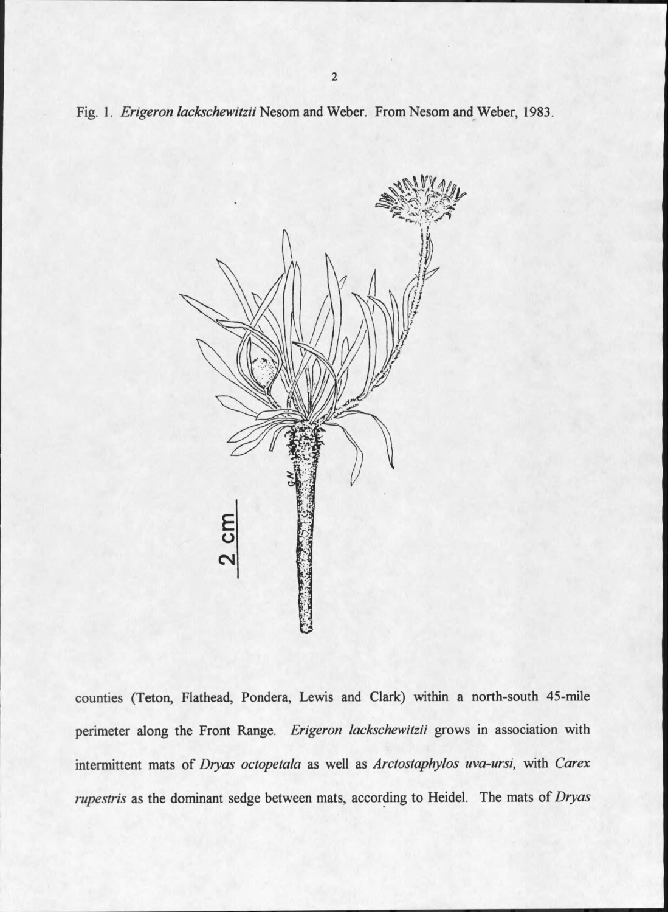Fig. 1. Erigeron lackschewitzii Nesom and Weber. From Nesom and Weber, 1983.



counties (Teton, Flathead, Pondera, Lewis and Clark) within a north-south 45-mile perimeter along the Front Range. Erigeron lackschewitzii grows in association with intermittent mats of Dryas octopetala as well as Arctostaphylos uva-ursi, with Carex rupestris as the dominant sedge between mats, according to Heidel. The mats of Dryas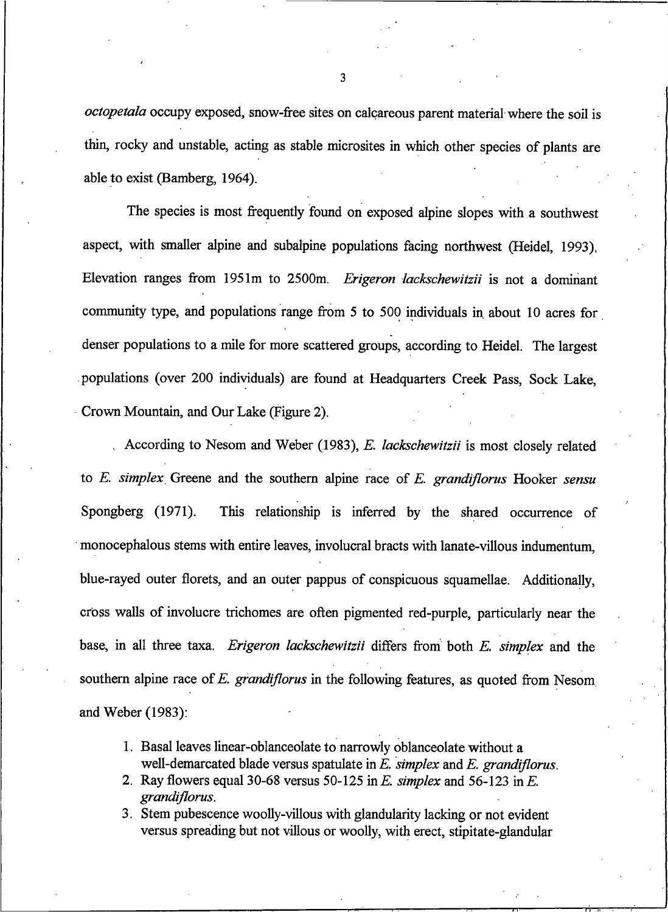octopetala occupy exposed, snow-free sites on calcareous parent material where the soil is thin, rocky and unstable, acting as stable microsites in which other species of plants are able to exist (Bamberg, 1964).

The species is most frequently found on exposed alpine slopes with a southwest aspect, with smaller alpine and subalpine populations facing northwest (Heidel, 1993). Elevation ranges from 1951m to 2500m. Erigeron lackschewitzii is not a dominant community type, and populations range from 5 to 500 individuals in about 10 acres for denser populations to a mile for more scattered groups, according to Heidel. The largest populations (over 200 individuals) are found at Headquarters Creek Pass, Sock Lake, Crown Mountain, and Our Lake (Figure 2).

According to Nesom and Weber (1983), E. lackschewitzii is most closely related to E. simplex Greene and the southern alpine race of E. grandiflorus Hooker sensu Spongberg  $(1971)$ . This relationship is inferred by the shared occurrence of monocephalous stems with entire leaves, involucral bracts with lanate-villous indumentum. blue-rayed outer florets, and an outer pappus of conspicuous squamellae. Additionally, cross walls of involucre trichomes are often pigmented red-purple, particularly near the base, in all three taxa. Erigeron lackschewitzii differs from both E. simplex and the southern alpine race of E. grandiflorus in the following features, as quoted from Nesom and Weber  $(1983)$ :

- 1. Basal leaves linear-oblanceolate to narrowly oblanceolate without a well-demarcated blade versus spatulate in  $E$ , simplex and  $E$ , grandiflorus.
- 2. Ray flowers equal 30-68 versus 50-125 in E. simplex and 56-123 in E. grandiflorus.
- 3. Stem pubescence woolly-villous with glandularity lacking or not evident versus spreading but not villous or woolly, with erect, stipitate-glandular

3